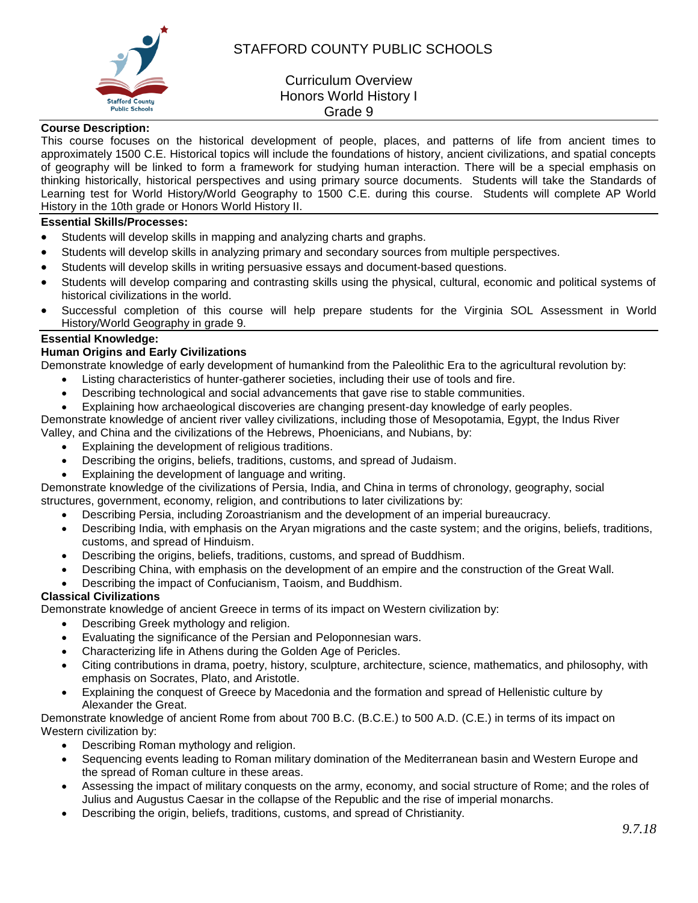

# STAFFORD COUNTY PUBLIC SCHOOLS

# Curriculum Overview Honors World History I Grade 9

### **Course Description:**

This course focuses on the historical development of people, places, and patterns of life from ancient times to approximately 1500 C.E. Historical topics will include the foundations of history, ancient civilizations, and spatial concepts of geography will be linked to form a framework for studying human interaction. There will be a special emphasis on thinking historically, historical perspectives and using primary source documents. Students will take the Standards of Learning test for World History/World Geography to 1500 C.E. during this course. Students will complete AP World History in the 10th grade or Honors World History II.

## **Essential Skills/Processes:**

- Students will develop skills in mapping and analyzing charts and graphs.
- Students will develop skills in analyzing primary and secondary sources from multiple perspectives.
- Students will develop skills in writing persuasive essays and document-based questions.
- Students will develop comparing and contrasting skills using the physical, cultural, economic and political systems of historical civilizations in the world.
- Successful completion of this course will help prepare students for the Virginia SOL Assessment in World History/World Geography in grade 9.

# **Essential Knowledge:**

#### **Human Origins and Early Civilizations**

Demonstrate knowledge of early development of humankind from the Paleolithic Era to the agricultural revolution by:

- Listing characteristics of hunter-gatherer societies, including their use of tools and fire.
- Describing technological and social advancements that gave rise to stable communities.
- Explaining how archaeological discoveries are changing present-day knowledge of early peoples.

Demonstrate knowledge of ancient river valley civilizations, including those of Mesopotamia, Egypt, the Indus River Valley, and China and the civilizations of the Hebrews, Phoenicians, and Nubians, by:

- Explaining the development of religious traditions.
- Describing the origins, beliefs, traditions, customs, and spread of Judaism.
- Explaining the development of language and writing.

Demonstrate knowledge of the civilizations of Persia, India, and China in terms of chronology, geography, social structures, government, economy, religion, and contributions to later civilizations by:

- Describing Persia, including Zoroastrianism and the development of an imperial bureaucracy.
- Describing India, with emphasis on the Aryan migrations and the caste system; and the origins, beliefs, traditions, customs, and spread of Hinduism.
- Describing the origins, beliefs, traditions, customs, and spread of Buddhism.
- Describing China, with emphasis on the development of an empire and the construction of the Great Wall.
- Describing the impact of Confucianism, Taoism, and Buddhism.

#### **Classical Civilizations**

Demonstrate knowledge of ancient Greece in terms of its impact on Western civilization by:

- Describing Greek mythology and religion.
- Evaluating the significance of the Persian and Peloponnesian wars.
- Characterizing life in Athens during the Golden Age of Pericles.
- Citing contributions in drama, poetry, history, sculpture, architecture, science, mathematics, and philosophy, with emphasis on Socrates, Plato, and Aristotle.
- Explaining the conquest of Greece by Macedonia and the formation and spread of Hellenistic culture by Alexander the Great.

Demonstrate knowledge of ancient Rome from about 700 B.C. (B.C.E.) to 500 A.D. (C.E.) in terms of its impact on Western civilization by:

- Describing Roman mythology and religion.
- Sequencing events leading to Roman military domination of the Mediterranean basin and Western Europe and the spread of Roman culture in these areas.
- Assessing the impact of military conquests on the army, economy, and social structure of Rome; and the roles of Julius and Augustus Caesar in the collapse of the Republic and the rise of imperial monarchs.
- Describing the origin, beliefs, traditions, customs, and spread of Christianity.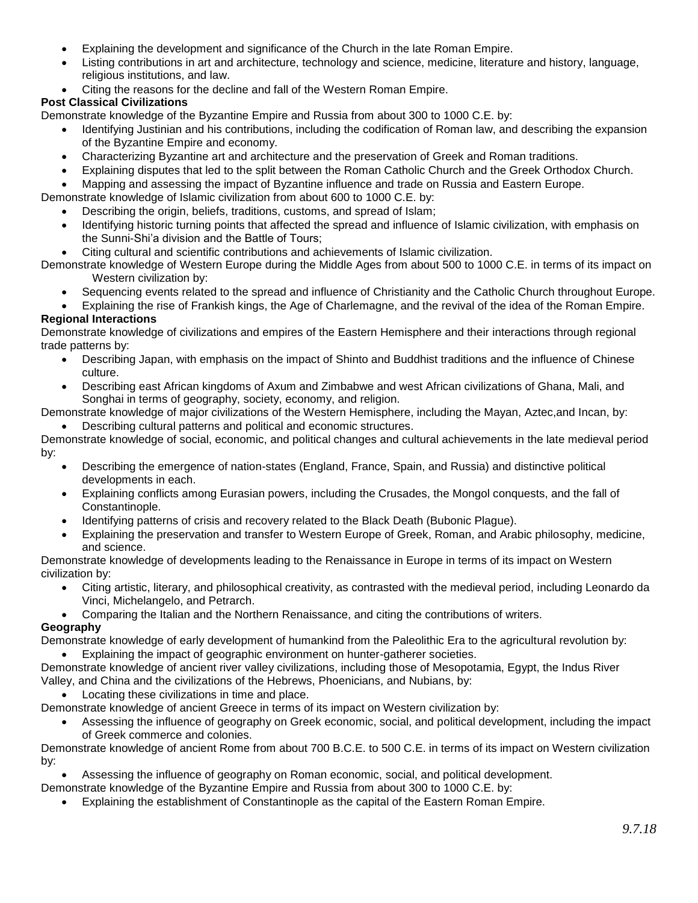- Explaining the development and significance of the Church in the late Roman Empire.
- Listing contributions in art and architecture, technology and science, medicine, literature and history, language, religious institutions, and law.
- Citing the reasons for the decline and fall of the Western Roman Empire.

# **Post Classical Civilizations**

Demonstrate knowledge of the Byzantine Empire and Russia from about 300 to 1000 C.E. by:

- Identifying Justinian and his contributions, including the codification of Roman law, and describing the expansion of the Byzantine Empire and economy.
- Characterizing Byzantine art and architecture and the preservation of Greek and Roman traditions.
- Explaining disputes that led to the split between the Roman Catholic Church and the Greek Orthodox Church.
- Mapping and assessing the impact of Byzantine influence and trade on Russia and Eastern Europe.

Demonstrate knowledge of Islamic civilization from about 600 to 1000 C.E. by:

- Describing the origin, beliefs, traditions, customs, and spread of Islam;
- Identifying historic turning points that affected the spread and influence of Islamic civilization, with emphasis on the Sunni-Shi'a division and the Battle of Tours;
- Citing cultural and scientific contributions and achievements of Islamic civilization.

Demonstrate knowledge of Western Europe during the Middle Ages from about 500 to 1000 C.E. in terms of its impact on Western civilization by:

Sequencing events related to the spread and influence of Christianity and the Catholic Church throughout Europe.

Explaining the rise of Frankish kings, the Age of Charlemagne, and the revival of the idea of the Roman Empire.

## **Regional Interactions**

Demonstrate knowledge of civilizations and empires of the Eastern Hemisphere and their interactions through regional trade patterns by:

- Describing Japan, with emphasis on the impact of Shinto and Buddhist traditions and the influence of Chinese culture.
- Describing east African kingdoms of Axum and Zimbabwe and west African civilizations of Ghana, Mali, and Songhai in terms of geography, society, economy, and religion.

Demonstrate knowledge of major civilizations of the Western Hemisphere, including the Mayan, Aztec,and Incan, by: Describing cultural patterns and political and economic structures.

Demonstrate knowledge of social, economic, and political changes and cultural achievements in the late medieval period by:

- Describing the emergence of nation-states (England, France, Spain, and Russia) and distinctive political developments in each.
- Explaining conflicts among Eurasian powers, including the Crusades, the Mongol conquests, and the fall of Constantinople.
- Identifying patterns of crisis and recovery related to the Black Death (Bubonic Plague).
- Explaining the preservation and transfer to Western Europe of Greek, Roman, and Arabic philosophy, medicine, and science.

Demonstrate knowledge of developments leading to the Renaissance in Europe in terms of its impact on Western civilization by:

- Citing artistic, literary, and philosophical creativity, as contrasted with the medieval period, including Leonardo da Vinci, Michelangelo, and Petrarch.
- Comparing the Italian and the Northern Renaissance, and citing the contributions of writers.

## **Geography**

Demonstrate knowledge of early development of humankind from the Paleolithic Era to the agricultural revolution by: Explaining the impact of geographic environment on hunter-gatherer societies.

- Demonstrate knowledge of ancient river valley civilizations, including those of Mesopotamia, Egypt, the Indus River Valley, and China and the civilizations of the Hebrews, Phoenicians, and Nubians, by:
- Locating these civilizations in time and place.

Demonstrate knowledge of ancient Greece in terms of its impact on Western civilization by:

 Assessing the influence of geography on Greek economic, social, and political development, including the impact of Greek commerce and colonies.

Demonstrate knowledge of ancient Rome from about 700 B.C.E. to 500 C.E. in terms of its impact on Western civilization by:

Assessing the influence of geography on Roman economic, social, and political development.

Demonstrate knowledge of the Byzantine Empire and Russia from about 300 to 1000 C.E. by:

Explaining the establishment of Constantinople as the capital of the Eastern Roman Empire.